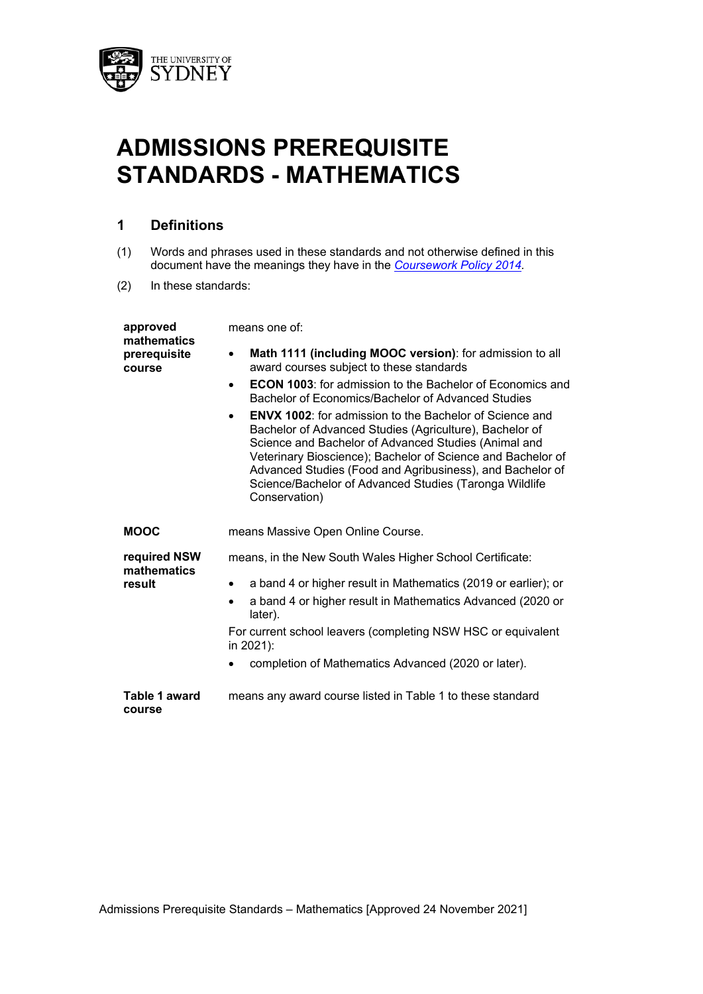

# **ADMISSIONS PREREQUISITE STANDARDS - MATHEMATICS**

# **1 Definitions**

- (1) Words and phrases used in these standards and not otherwise defined in this document have the meanings they have in the *Coursework Policy 2014.*
- (2) In these standards:

| approved<br>mathematics               | means one of:                                                                                                                                                                                                                                                                                                                                                                                          |  |  |  |  |
|---------------------------------------|--------------------------------------------------------------------------------------------------------------------------------------------------------------------------------------------------------------------------------------------------------------------------------------------------------------------------------------------------------------------------------------------------------|--|--|--|--|
| prerequisite<br>course                | Math 1111 (including MOOC version): for admission to all<br>٠<br>award courses subject to these standards                                                                                                                                                                                                                                                                                              |  |  |  |  |
|                                       | <b>ECON 1003:</b> for admission to the Bachelor of Economics and<br>$\bullet$<br>Bachelor of Economics/Bachelor of Advanced Studies                                                                                                                                                                                                                                                                    |  |  |  |  |
|                                       | <b>ENVX 1002</b> : for admission to the Bachelor of Science and<br>$\bullet$<br>Bachelor of Advanced Studies (Agriculture), Bachelor of<br>Science and Bachelor of Advanced Studies (Animal and<br>Veterinary Bioscience); Bachelor of Science and Bachelor of<br>Advanced Studies (Food and Agribusiness), and Bachelor of<br>Science/Bachelor of Advanced Studies (Taronga Wildlife<br>Conservation) |  |  |  |  |
| <b>MOOC</b>                           | means Massive Open Online Course.                                                                                                                                                                                                                                                                                                                                                                      |  |  |  |  |
| required NSW<br>mathematics<br>result | means, in the New South Wales Higher School Certificate:                                                                                                                                                                                                                                                                                                                                               |  |  |  |  |
|                                       | a band 4 or higher result in Mathematics (2019 or earlier); or<br>٠                                                                                                                                                                                                                                                                                                                                    |  |  |  |  |
|                                       | a band 4 or higher result in Mathematics Advanced (2020 or<br>$\bullet$<br>later).                                                                                                                                                                                                                                                                                                                     |  |  |  |  |
|                                       | For current school leavers (completing NSW HSC or equivalent<br>in 2021):                                                                                                                                                                                                                                                                                                                              |  |  |  |  |
|                                       | completion of Mathematics Advanced (2020 or later).                                                                                                                                                                                                                                                                                                                                                    |  |  |  |  |
| Table 1 award<br>course               | means any award course listed in Table 1 to these standard                                                                                                                                                                                                                                                                                                                                             |  |  |  |  |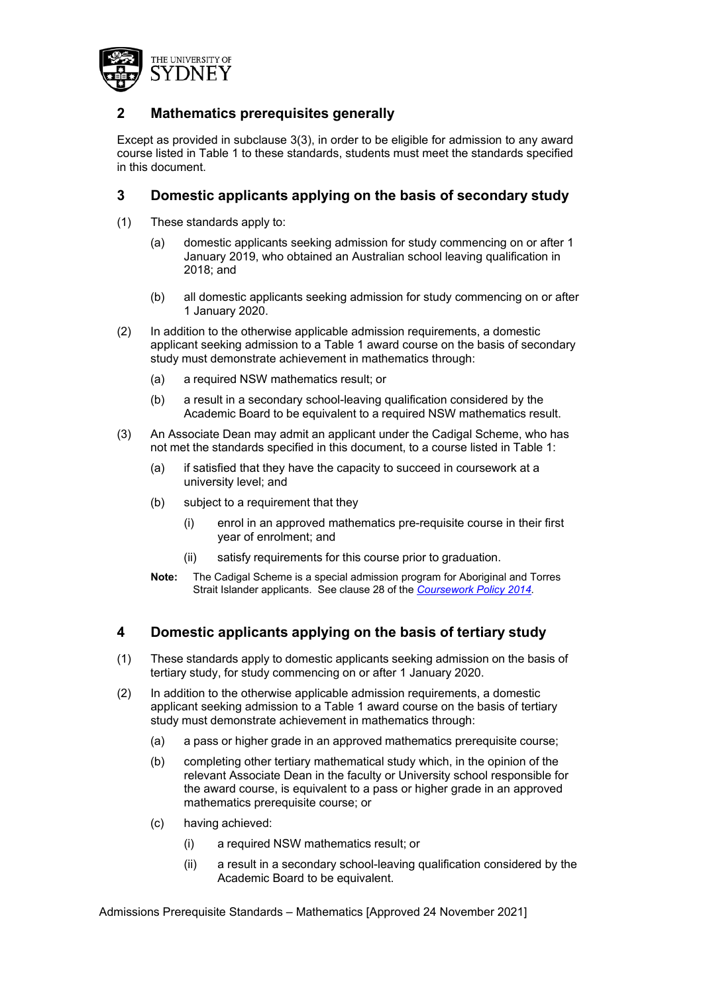

# **2 Mathematics prerequisites generally**

Except as provided in subclause 3(3), in order to be eligible for admission to any award course listed in Table 1 to these standards, students must meet the standards specified in this document.

## **3 Domestic applicants applying on the basis of secondary study**

- (1) These standards apply to:
	- (a) domestic applicants seeking admission for study commencing on or after 1 January 2019, who obtained an Australian school leaving qualification in 2018; and
	- (b) all domestic applicants seeking admission for study commencing on or after 1 January 2020.
- (2) In addition to the otherwise applicable admission requirements, a domestic applicant seeking admission to a Table 1 award course on the basis of secondary study must demonstrate achievement in mathematics through:
	- (a) a required NSW mathematics result; or
	- (b) a result in a secondary school-leaving qualification considered by the Academic Board to be equivalent to a required NSW mathematics result.
- (3) An Associate Dean may admit an applicant under the Cadigal Scheme, who has not met the standards specified in this document, to a course listed in Table 1:
	- (a) if satisfied that they have the capacity to succeed in coursework at a university level; and
	- (b) subject to a requirement that they
		- (i) enrol in an approved mathematics pre-requisite course in their first year of enrolment; and
		- (ii) satisfy requirements for this course prior to graduation.
	- **Note:** The Cadigal Scheme is a special admission program for Aboriginal and Torres Strait Islander applicants. See clause 28 of the *Coursework Policy 2014.*

#### **4 Domestic applicants applying on the basis of tertiary study**

- (1) These standards apply to domestic applicants seeking admission on the basis of tertiary study, for study commencing on or after 1 January 2020.
- (2) In addition to the otherwise applicable admission requirements, a domestic applicant seeking admission to a Table 1 award course on the basis of tertiary study must demonstrate achievement in mathematics through:
	- (a) a pass or higher grade in an approved mathematics prerequisite course;
	- (b) completing other tertiary mathematical study which, in the opinion of the relevant Associate Dean in the faculty or University school responsible for the award course, is equivalent to a pass or higher grade in an approved mathematics prerequisite course; or
	- (c) having achieved:
		- (i) a required NSW mathematics result; or
		- (ii) a result in a secondary school-leaving qualification considered by the Academic Board to be equivalent.

Admissions Prerequisite Standards – Mathematics [Approved 24 November 2021]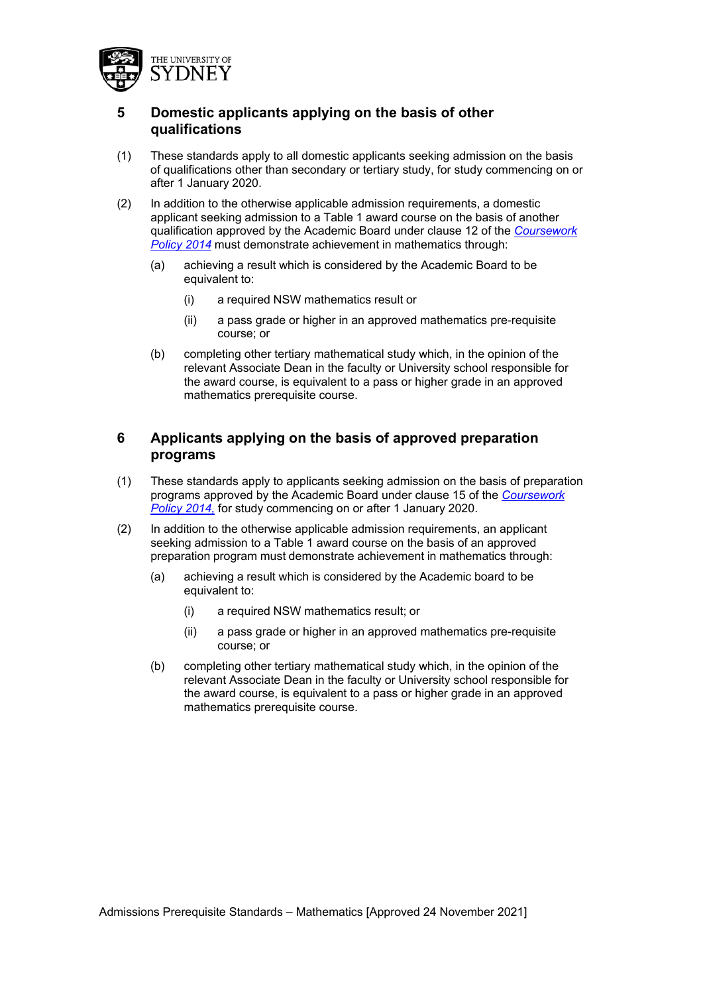

# **5 Domestic applicants applying on the basis of other qualifications**

- (1) These standards apply to all domestic applicants seeking admission on the basis of qualifications other than secondary or tertiary study, for study commencing on or after 1 January 2020.
- (2) In addition to the otherwise applicable admission requirements, a domestic applicant seeking admission to a Table 1 award course on the basis of another qualification approved by the Academic Board under clause 12 of the *Coursework Policy 2014* must demonstrate achievement in mathematics through:
	- (a) achieving a result which is considered by the Academic Board to be equivalent to:
		- (i) a required NSW mathematics result or
		- (ii) a pass grade or higher in an approved mathematics pre-requisite course; or
	- (b) completing other tertiary mathematical study which, in the opinion of the relevant Associate Dean in the faculty or University school responsible for the award course, is equivalent to a pass or higher grade in an approved mathematics prerequisite course.

## **6 Applicants applying on the basis of approved preparation programs**

- (1) These standards apply to applicants seeking admission on the basis of preparation programs approved by the Academic Board under clause 15 of the *Coursework Policy 2014,* for study commencing on or after 1 January 2020.
- (2) In addition to the otherwise applicable admission requirements, an applicant seeking admission to a Table 1 award course on the basis of an approved preparation program must demonstrate achievement in mathematics through:
	- (a) achieving a result which is considered by the Academic board to be equivalent to:
		- (i) a required NSW mathematics result; or
		- (ii) a pass grade or higher in an approved mathematics pre-requisite course; or
	- (b) completing other tertiary mathematical study which, in the opinion of the relevant Associate Dean in the faculty or University school responsible for the award course, is equivalent to a pass or higher grade in an approved mathematics prerequisite course.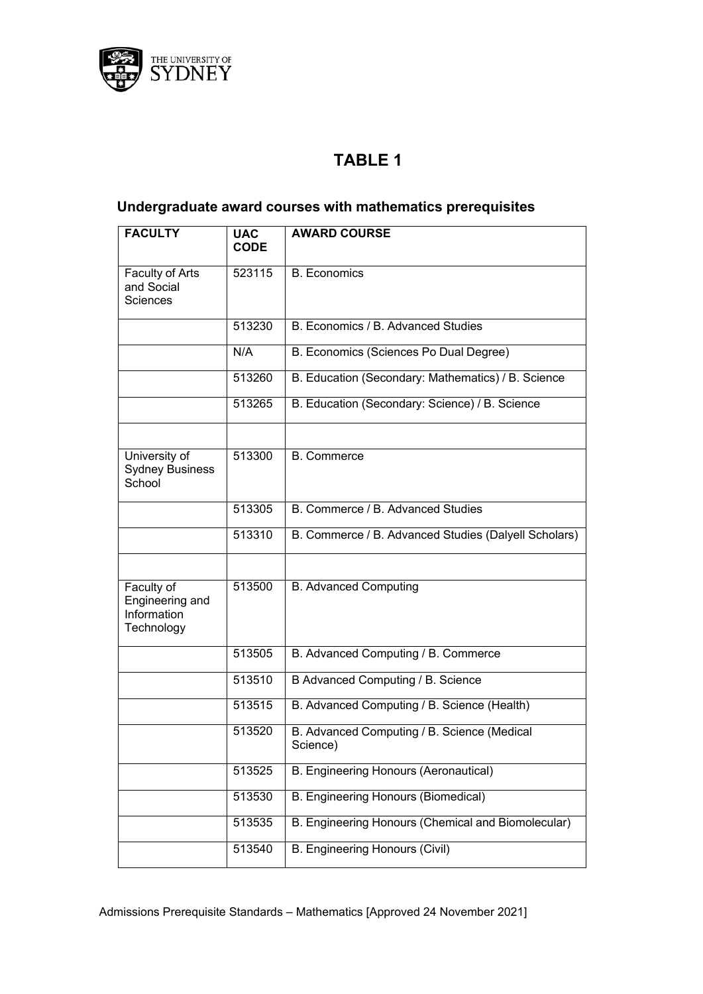

# **TABLE 1**

# **Undergraduate award courses with mathematics prerequisites**

| <b>FACULTY</b>                                             | <b>UAC</b><br><b>CODE</b> | <b>AWARD COURSE</b>                                     |
|------------------------------------------------------------|---------------------------|---------------------------------------------------------|
| Faculty of Arts<br>and Social<br>Sciences                  | 523115                    | <b>B.</b> Economics                                     |
|                                                            | 513230                    | B. Economics / B. Advanced Studies                      |
|                                                            | N/A                       | B. Economics (Sciences Po Dual Degree)                  |
|                                                            | 513260                    | B. Education (Secondary: Mathematics) / B. Science      |
|                                                            | 513265                    | B. Education (Secondary: Science) / B. Science          |
|                                                            |                           |                                                         |
| University of<br><b>Sydney Business</b><br>School          | 513300                    | <b>B.</b> Commerce                                      |
|                                                            | 513305                    | B. Commerce / B. Advanced Studies                       |
|                                                            | 513310                    | B. Commerce / B. Advanced Studies (Dalyell Scholars)    |
|                                                            |                           |                                                         |
| Faculty of<br>Engineering and<br>Information<br>Technology | 513500                    | <b>B. Advanced Computing</b>                            |
|                                                            | 513505                    | B. Advanced Computing / B. Commerce                     |
|                                                            | 513510                    | B Advanced Computing / B. Science                       |
|                                                            | 513515                    | B. Advanced Computing / B. Science (Health)             |
|                                                            | 513520                    | B. Advanced Computing / B. Science (Medical<br>Science) |
|                                                            | 513525                    | <b>B. Engineering Honours (Aeronautical)</b>            |
|                                                            | 513530                    | <b>B. Engineering Honours (Biomedical)</b>              |
|                                                            | 513535                    | B. Engineering Honours (Chemical and Biomolecular)      |
|                                                            | 513540                    | <b>B. Engineering Honours (Civil)</b>                   |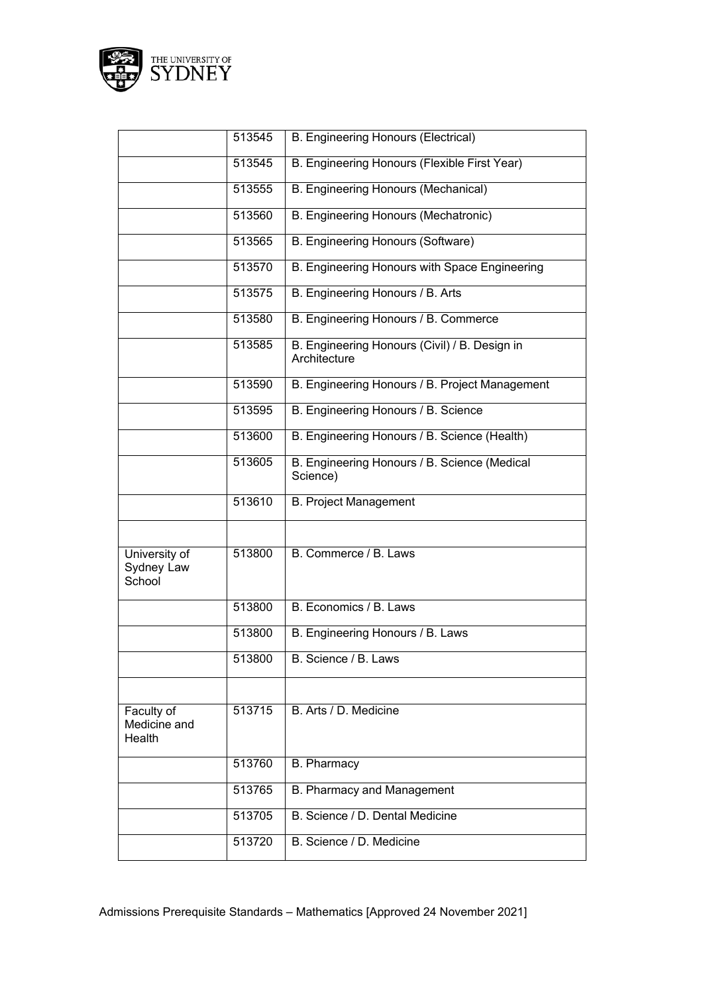

|                                       | 513545 | <b>B. Engineering Honours (Electrical)</b>                    |
|---------------------------------------|--------|---------------------------------------------------------------|
|                                       | 513545 | B. Engineering Honours (Flexible First Year)                  |
|                                       | 513555 | B. Engineering Honours (Mechanical)                           |
|                                       | 513560 | B. Engineering Honours (Mechatronic)                          |
|                                       | 513565 | B. Engineering Honours (Software)                             |
|                                       | 513570 | B. Engineering Honours with Space Engineering                 |
|                                       | 513575 | B. Engineering Honours / B. Arts                              |
|                                       | 513580 | B. Engineering Honours / B. Commerce                          |
|                                       | 513585 | B. Engineering Honours (Civil) / B. Design in<br>Architecture |
|                                       | 513590 | B. Engineering Honours / B. Project Management                |
|                                       | 513595 | B. Engineering Honours / B. Science                           |
|                                       | 513600 | B. Engineering Honours / B. Science (Health)                  |
|                                       | 513605 | B. Engineering Honours / B. Science (Medical<br>Science)      |
|                                       | 513610 | <b>B. Project Management</b>                                  |
|                                       |        |                                                               |
| University of<br>Sydney Law<br>School | 513800 | B. Commerce / B. Laws                                         |
|                                       | 513800 | B. Economics / B. Laws                                        |
|                                       | 513800 | B. Engineering Honours / B. Laws                              |
|                                       | 513800 | B. Science / B. Laws                                          |
|                                       |        |                                                               |
| Faculty of<br>Medicine and<br>Health  | 513715 | B. Arts / D. Medicine                                         |
|                                       | 513760 | <b>B.</b> Pharmacy                                            |
|                                       | 513765 | B. Pharmacy and Management                                    |
|                                       | 513705 | B. Science / D. Dental Medicine                               |
|                                       | 513720 | B. Science / D. Medicine                                      |